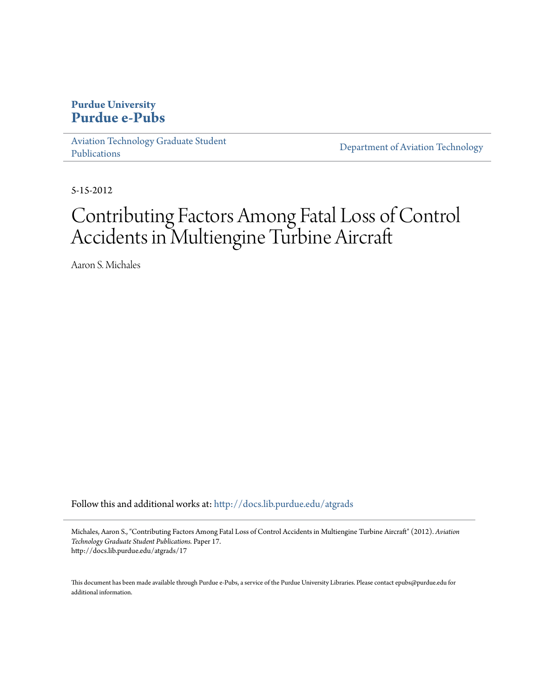# **Purdue University [Purdue e-Pubs](http://docs.lib.purdue.edu?utm_source=docs.lib.purdue.edu%2Fatgrads%2F17&utm_medium=PDF&utm_campaign=PDFCoverPages)**

[Aviation Technology Graduate Student](http://docs.lib.purdue.edu/atgrads?utm_source=docs.lib.purdue.edu%2Fatgrads%2F17&utm_medium=PDF&utm_campaign=PDFCoverPages) [Publications](http://docs.lib.purdue.edu/atgrads?utm_source=docs.lib.purdue.edu%2Fatgrads%2F17&utm_medium=PDF&utm_campaign=PDFCoverPages)

[Department of Aviation Technology](http://docs.lib.purdue.edu/avtech?utm_source=docs.lib.purdue.edu%2Fatgrads%2F17&utm_medium=PDF&utm_campaign=PDFCoverPages)

5-15-2012

# Contributing Factors Among Fatal Loss of Control Accidents in Multiengine Turbine Aircraft

Aaron S. Michales

Follow this and additional works at: [http://docs.lib.purdue.edu/atgrads](http://docs.lib.purdue.edu/atgrads?utm_source=docs.lib.purdue.edu%2Fatgrads%2F17&utm_medium=PDF&utm_campaign=PDFCoverPages)

Michales, Aaron S., "Contributing Factors Among Fatal Loss of Control Accidents in Multiengine Turbine Aircraft" (2012). *Aviation Technology Graduate Student Publications.* Paper 17. http://docs.lib.purdue.edu/atgrads/17

This document has been made available through Purdue e-Pubs, a service of the Purdue University Libraries. Please contact epubs@purdue.edu for additional information.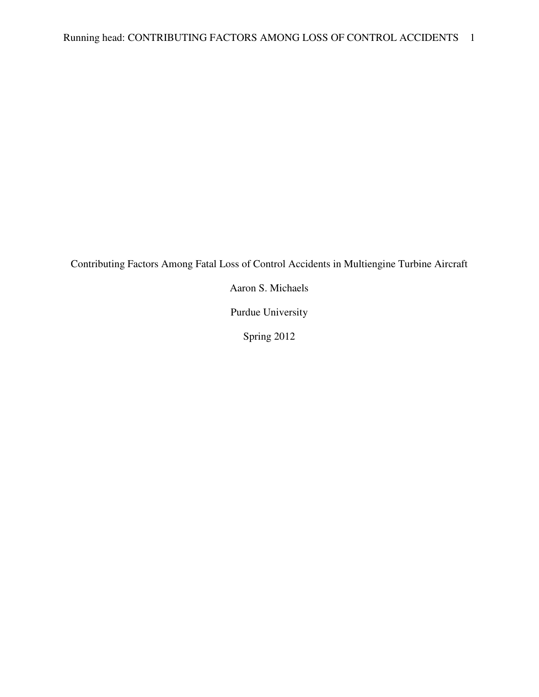Contributing Factors Among Fatal Loss of Control Accidents in Multiengine Turbine Aircraft

Aaron S. Michaels

Purdue University

Spring 2012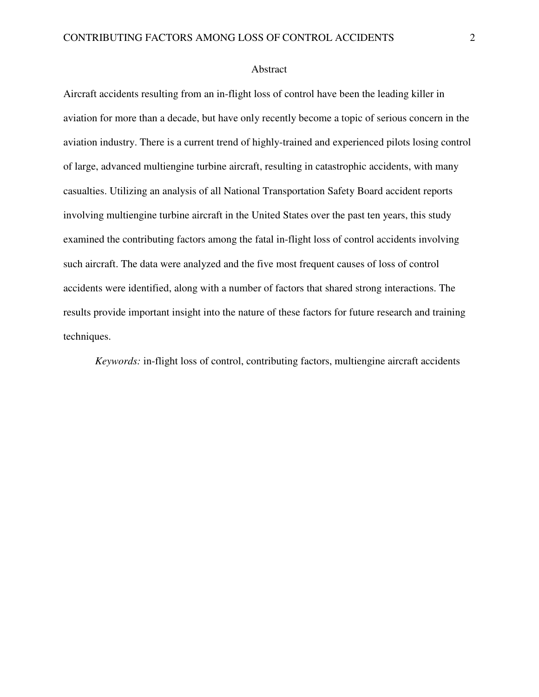#### Abstract

Aircraft accidents resulting from an in-flight loss of control have been the leading killer in aviation for more than a decade, but have only recently become a topic of serious concern in the aviation industry. There is a current trend of highly-trained and experienced pilots losing control of large, advanced multiengine turbine aircraft, resulting in catastrophic accidents, with many casualties. Utilizing an analysis of all National Transportation Safety Board accident reports involving multiengine turbine aircraft in the United States over the past ten years, this study examined the contributing factors among the fatal in-flight loss of control accidents involving such aircraft. The data were analyzed and the five most frequent causes of loss of control accidents were identified, along with a number of factors that shared strong interactions. The results provide important insight into the nature of these factors for future research and training techniques.

*Keywords:* in-flight loss of control, contributing factors, multiengine aircraft accidents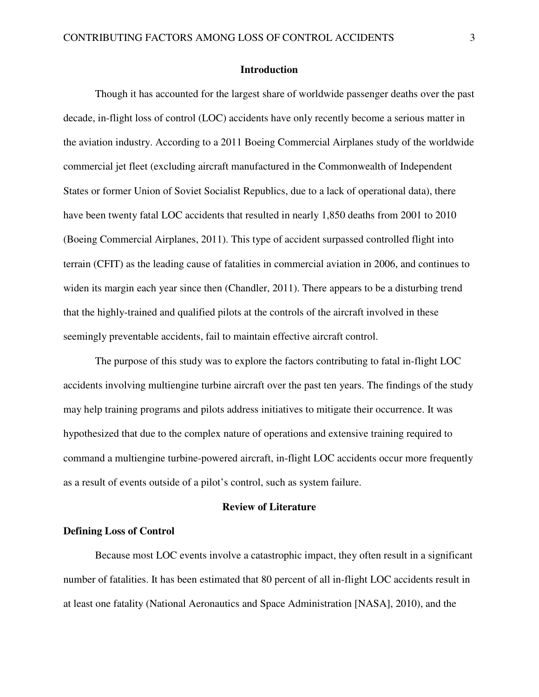# **Introduction**

Though it has accounted for the largest share of worldwide passenger deaths over the past decade, in-flight loss of control (LOC) accidents have only recently become a serious matter in the aviation industry. According to a 2011 Boeing Commercial Airplanes study of the worldwide commercial jet fleet (excluding aircraft manufactured in the Commonwealth of Independent States or former Union of Soviet Socialist Republics, due to a lack of operational data), there have been twenty fatal LOC accidents that resulted in nearly 1,850 deaths from 2001 to 2010 (Boeing Commercial Airplanes, 2011). This type of accident surpassed controlled flight into terrain (CFIT) as the leading cause of fatalities in commercial aviation in 2006, and continues to widen its margin each year since then (Chandler, 2011). There appears to be a disturbing trend that the highly-trained and qualified pilots at the controls of the aircraft involved in these seemingly preventable accidents, fail to maintain effective aircraft control.

The purpose of this study was to explore the factors contributing to fatal in-flight LOC accidents involving multiengine turbine aircraft over the past ten years. The findings of the study may help training programs and pilots address initiatives to mitigate their occurrence. It was hypothesized that due to the complex nature of operations and extensive training required to command a multiengine turbine-powered aircraft, in-flight LOC accidents occur more frequently as a result of events outside of a pilot's control, such as system failure.

#### **Review of Literature**

# **Defining Loss of Control**

 Because most LOC events involve a catastrophic impact, they often result in a significant number of fatalities. It has been estimated that 80 percent of all in-flight LOC accidents result in at least one fatality (National Aeronautics and Space Administration [NASA], 2010), and the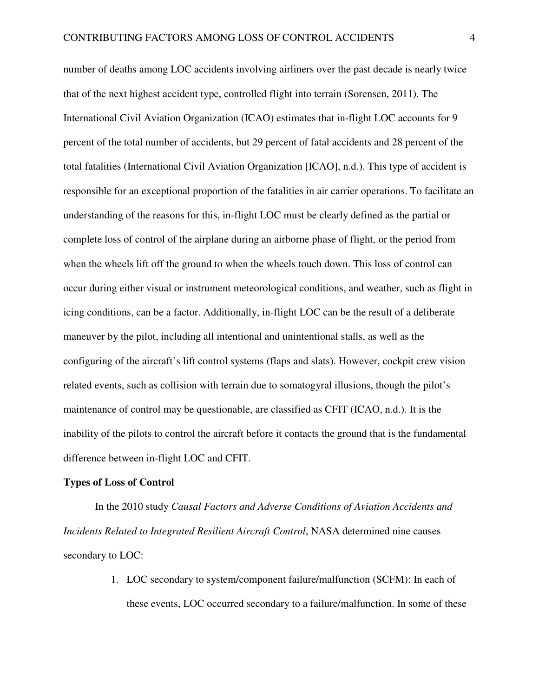number of deaths among LOC accidents involving airliners over the past decade is nearly twice that of the next highest accident type, controlled flight into terrain (Sorensen, 2011). The International Civil Aviation Organization (ICAO) estimates that in-flight LOC accounts for 9 percent of the total number of accidents, but 29 percent of fatal accidents and 28 percent of the total fatalities (International Civil Aviation Organization [ICAO], n.d.). This type of accident is responsible for an exceptional proportion of the fatalities in air carrier operations. To facilitate an understanding of the reasons for this, in-flight LOC must be clearly defined as the partial or complete loss of control of the airplane during an airborne phase of flight, or the period from when the wheels lift off the ground to when the wheels touch down. This loss of control can occur during either visual or instrument meteorological conditions, and weather, such as flight in icing conditions, can be a factor. Additionally, in-flight LOC can be the result of a deliberate maneuver by the pilot, including all intentional and unintentional stalls, as well as the configuring of the aircraft's lift control systems (flaps and slats). However, cockpit crew vision related events, such as collision with terrain due to somatogyral illusions, though the pilot's maintenance of control may be questionable, are classified as CFIT (ICAO, n.d.). It is the inability of the pilots to control the aircraft before it contacts the ground that is the fundamental difference between in-flight LOC and CFIT.

# **Types of Loss of Control**

In the 2010 study *Causal Factors and Adverse Conditions of Aviation Accidents and Incidents Related to Integrated Resilient Aircraft Control*, NASA determined nine causes secondary to LOC:

> 1. LOC secondary to system/component failure/malfunction (SCFM): In each of these events, LOC occurred secondary to a failure/malfunction. In some of these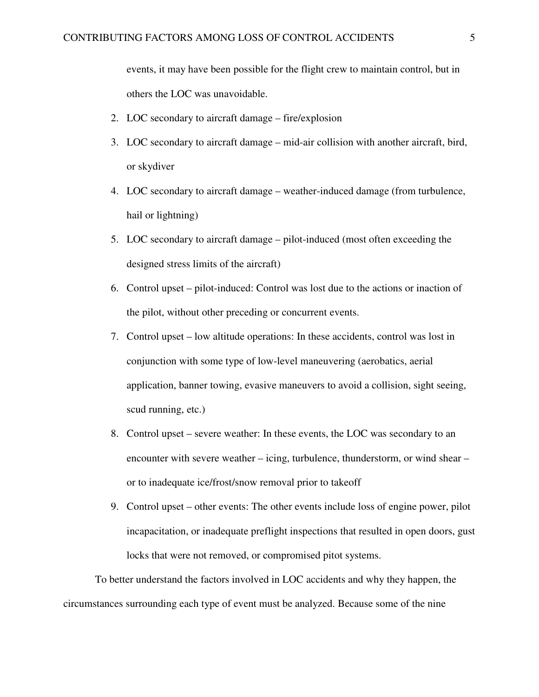events, it may have been possible for the flight crew to maintain control, but in others the LOC was unavoidable.

- 2. LOC secondary to aircraft damage fire/explosion
- 3. LOC secondary to aircraft damage mid-air collision with another aircraft, bird, or skydiver
- 4. LOC secondary to aircraft damage weather-induced damage (from turbulence, hail or lightning)
- 5. LOC secondary to aircraft damage pilot-induced (most often exceeding the designed stress limits of the aircraft)
- 6. Control upset pilot-induced: Control was lost due to the actions or inaction of the pilot, without other preceding or concurrent events.
- 7. Control upset low altitude operations: In these accidents, control was lost in conjunction with some type of low-level maneuvering (aerobatics, aerial application, banner towing, evasive maneuvers to avoid a collision, sight seeing, scud running, etc.)
- 8. Control upset severe weather: In these events, the LOC was secondary to an encounter with severe weather – icing, turbulence, thunderstorm, or wind shear – or to inadequate ice/frost/snow removal prior to takeoff
- 9. Control upset other events: The other events include loss of engine power, pilot incapacitation, or inadequate preflight inspections that resulted in open doors, gust locks that were not removed, or compromised pitot systems.

To better understand the factors involved in LOC accidents and why they happen, the circumstances surrounding each type of event must be analyzed. Because some of the nine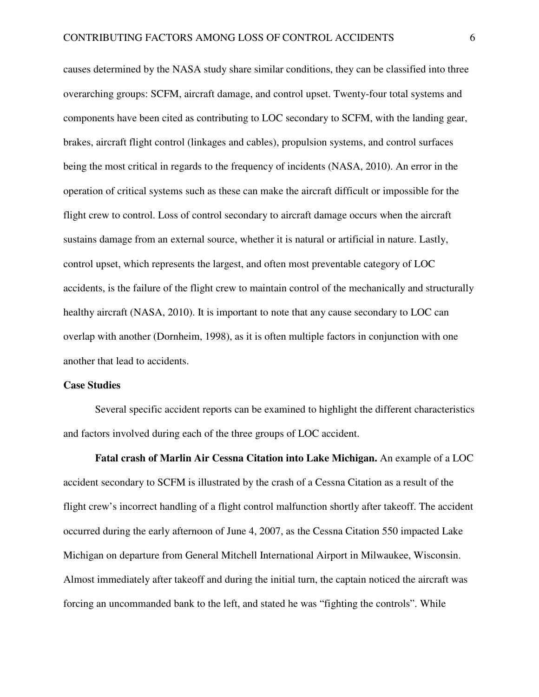causes determined by the NASA study share similar conditions, they can be classified into three overarching groups: SCFM, aircraft damage, and control upset. Twenty-four total systems and components have been cited as contributing to LOC secondary to SCFM, with the landing gear, brakes, aircraft flight control (linkages and cables), propulsion systems, and control surfaces being the most critical in regards to the frequency of incidents (NASA, 2010). An error in the operation of critical systems such as these can make the aircraft difficult or impossible for the flight crew to control. Loss of control secondary to aircraft damage occurs when the aircraft sustains damage from an external source, whether it is natural or artificial in nature. Lastly, control upset, which represents the largest, and often most preventable category of LOC accidents, is the failure of the flight crew to maintain control of the mechanically and structurally healthy aircraft (NASA, 2010). It is important to note that any cause secondary to LOC can overlap with another (Dornheim, 1998), as it is often multiple factors in conjunction with one another that lead to accidents.

# **Case Studies**

 Several specific accident reports can be examined to highlight the different characteristics and factors involved during each of the three groups of LOC accident.

 **Fatal crash of Marlin Air Cessna Citation into Lake Michigan.** An example of a LOC accident secondary to SCFM is illustrated by the crash of a Cessna Citation as a result of the flight crew's incorrect handling of a flight control malfunction shortly after takeoff. The accident occurred during the early afternoon of June 4, 2007, as the Cessna Citation 550 impacted Lake Michigan on departure from General Mitchell International Airport in Milwaukee, Wisconsin. Almost immediately after takeoff and during the initial turn, the captain noticed the aircraft was forcing an uncommanded bank to the left, and stated he was "fighting the controls". While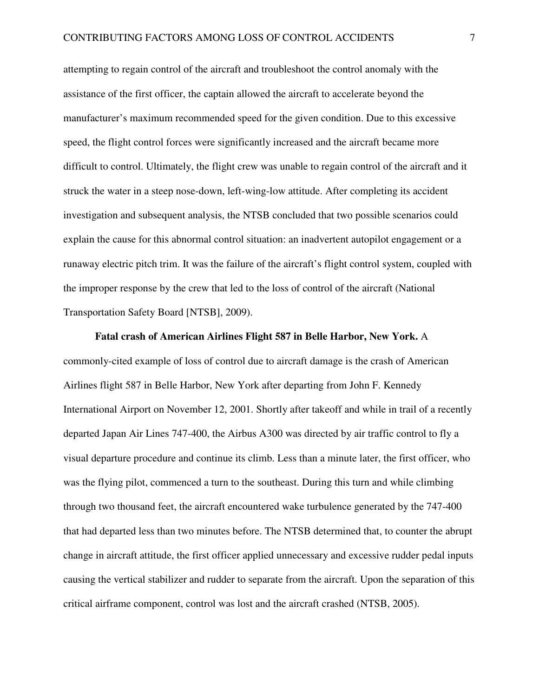attempting to regain control of the aircraft and troubleshoot the control anomaly with the assistance of the first officer, the captain allowed the aircraft to accelerate beyond the manufacturer's maximum recommended speed for the given condition. Due to this excessive speed, the flight control forces were significantly increased and the aircraft became more difficult to control. Ultimately, the flight crew was unable to regain control of the aircraft and it struck the water in a steep nose-down, left-wing-low attitude. After completing its accident investigation and subsequent analysis, the NTSB concluded that two possible scenarios could explain the cause for this abnormal control situation: an inadvertent autopilot engagement or a runaway electric pitch trim. It was the failure of the aircraft's flight control system, coupled with the improper response by the crew that led to the loss of control of the aircraft (National Transportation Safety Board [NTSB], 2009).

**Fatal crash of American Airlines Flight 587 in Belle Harbor, New York.** A commonly-cited example of loss of control due to aircraft damage is the crash of American Airlines flight 587 in Belle Harbor, New York after departing from John F. Kennedy International Airport on November 12, 2001. Shortly after takeoff and while in trail of a recently departed Japan Air Lines 747-400, the Airbus A300 was directed by air traffic control to fly a visual departure procedure and continue its climb. Less than a minute later, the first officer, who was the flying pilot, commenced a turn to the southeast. During this turn and while climbing through two thousand feet, the aircraft encountered wake turbulence generated by the 747-400 that had departed less than two minutes before. The NTSB determined that, to counter the abrupt change in aircraft attitude, the first officer applied unnecessary and excessive rudder pedal inputs causing the vertical stabilizer and rudder to separate from the aircraft. Upon the separation of this critical airframe component, control was lost and the aircraft crashed (NTSB, 2005).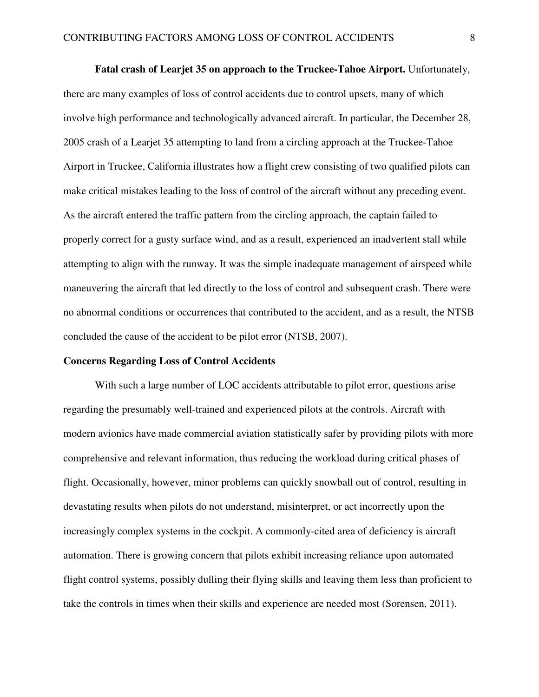**Fatal crash of Learjet 35 on approach to the Truckee-Tahoe Airport.** Unfortunately, there are many examples of loss of control accidents due to control upsets, many of which involve high performance and technologically advanced aircraft. In particular, the December 28, 2005 crash of a Learjet 35 attempting to land from a circling approach at the Truckee-Tahoe Airport in Truckee, California illustrates how a flight crew consisting of two qualified pilots can make critical mistakes leading to the loss of control of the aircraft without any preceding event. As the aircraft entered the traffic pattern from the circling approach, the captain failed to properly correct for a gusty surface wind, and as a result, experienced an inadvertent stall while attempting to align with the runway. It was the simple inadequate management of airspeed while maneuvering the aircraft that led directly to the loss of control and subsequent crash. There were no abnormal conditions or occurrences that contributed to the accident, and as a result, the NTSB concluded the cause of the accident to be pilot error (NTSB, 2007).

#### **Concerns Regarding Loss of Control Accidents**

With such a large number of LOC accidents attributable to pilot error, questions arise regarding the presumably well-trained and experienced pilots at the controls. Aircraft with modern avionics have made commercial aviation statistically safer by providing pilots with more comprehensive and relevant information, thus reducing the workload during critical phases of flight. Occasionally, however, minor problems can quickly snowball out of control, resulting in devastating results when pilots do not understand, misinterpret, or act incorrectly upon the increasingly complex systems in the cockpit. A commonly-cited area of deficiency is aircraft automation. There is growing concern that pilots exhibit increasing reliance upon automated flight control systems, possibly dulling their flying skills and leaving them less than proficient to take the controls in times when their skills and experience are needed most (Sorensen, 2011).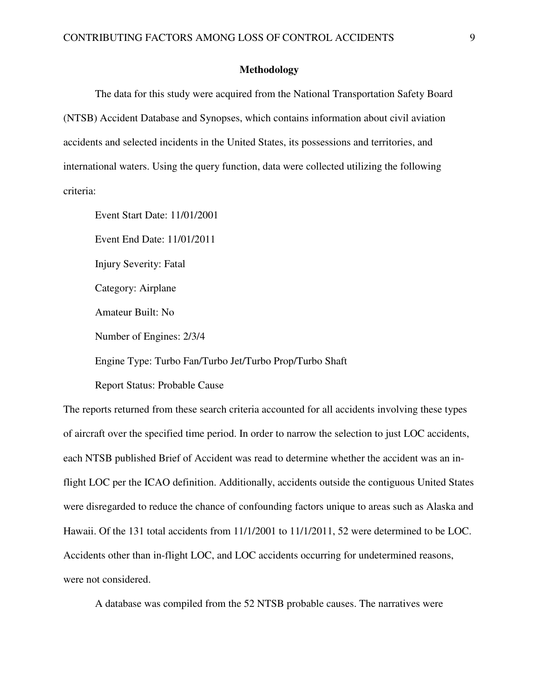# **Methodology**

The data for this study were acquired from the National Transportation Safety Board (NTSB) Accident Database and Synopses, which contains information about civil aviation accidents and selected incidents in the United States, its possessions and territories, and international waters. Using the query function, data were collected utilizing the following criteria:

 Event Start Date: 11/01/2001 Event End Date: 11/01/2011 Injury Severity: Fatal Category: Airplane Amateur Built: No Number of Engines: 2/3/4 Engine Type: Turbo Fan/Turbo Jet/Turbo Prop/Turbo Shaft

Report Status: Probable Cause

The reports returned from these search criteria accounted for all accidents involving these types of aircraft over the specified time period. In order to narrow the selection to just LOC accidents, each NTSB published Brief of Accident was read to determine whether the accident was an inflight LOC per the ICAO definition. Additionally, accidents outside the contiguous United States were disregarded to reduce the chance of confounding factors unique to areas such as Alaska and Hawaii. Of the 131 total accidents from 11/1/2001 to 11/1/2011, 52 were determined to be LOC. Accidents other than in-flight LOC, and LOC accidents occurring for undetermined reasons, were not considered.

A database was compiled from the 52 NTSB probable causes. The narratives were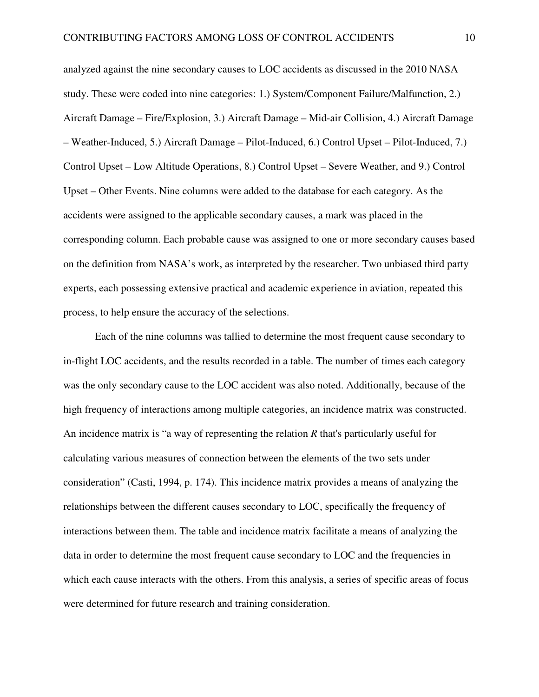analyzed against the nine secondary causes to LOC accidents as discussed in the 2010 NASA study. These were coded into nine categories: 1.) System/Component Failure/Malfunction, 2.) Aircraft Damage – Fire/Explosion, 3.) Aircraft Damage – Mid-air Collision, 4.) Aircraft Damage – Weather-Induced, 5.) Aircraft Damage – Pilot-Induced, 6.) Control Upset – Pilot-Induced, 7.) Control Upset – Low Altitude Operations, 8.) Control Upset – Severe Weather, and 9.) Control Upset – Other Events. Nine columns were added to the database for each category. As the accidents were assigned to the applicable secondary causes, a mark was placed in the corresponding column. Each probable cause was assigned to one or more secondary causes based on the definition from NASA's work, as interpreted by the researcher. Two unbiased third party experts, each possessing extensive practical and academic experience in aviation, repeated this process, to help ensure the accuracy of the selections.

 Each of the nine columns was tallied to determine the most frequent cause secondary to in-flight LOC accidents, and the results recorded in a table. The number of times each category was the only secondary cause to the LOC accident was also noted. Additionally, because of the high frequency of interactions among multiple categories, an incidence matrix was constructed. An incidence matrix is "a way of representing the relation *R* that's particularly useful for calculating various measures of connection between the elements of the two sets under consideration" (Casti, 1994, p. 174). This incidence matrix provides a means of analyzing the relationships between the different causes secondary to LOC, specifically the frequency of interactions between them. The table and incidence matrix facilitate a means of analyzing the data in order to determine the most frequent cause secondary to LOC and the frequencies in which each cause interacts with the others. From this analysis, a series of specific areas of focus were determined for future research and training consideration.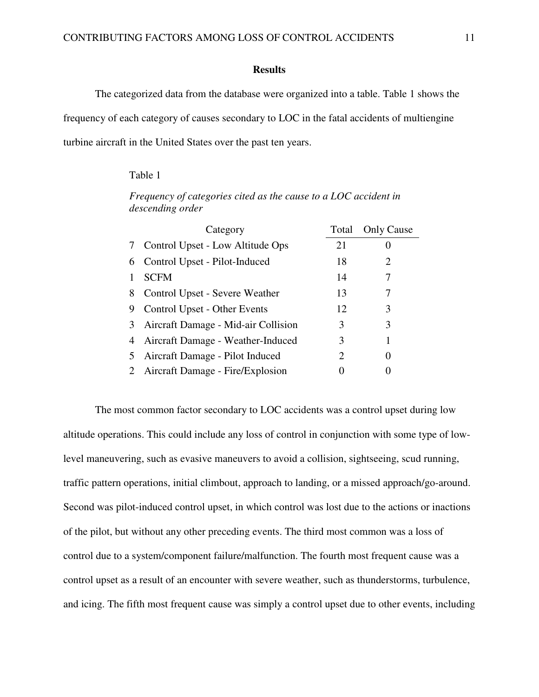# **Results**

The categorized data from the database were organized into a table. Table 1 shows the frequency of each category of causes secondary to LOC in the fatal accidents of multiengine turbine aircraft in the United States over the past ten years.

# Table 1

*descending order*  Category Total Only Cause 7 Control Upset - Low Altitude Ops 21 0 6 Control Upset - Pilot-Induced 18 2

*Frequency of categories cited as the cause to a LOC accident in* 

|   | 6 Control Upset - Pilot-Induced     | 18 | $\mathcal{D}_{\cdot}$ |  |
|---|-------------------------------------|----|-----------------------|--|
|   | <b>SCFM</b>                         | 14 |                       |  |
| 8 | Control Upset - Severe Weather      | 13 |                       |  |
| 9 | Control Upset - Other Events        | 12 | 3                     |  |
| 3 | Aircraft Damage - Mid-air Collision | 3  | 3                     |  |
| 4 | Aircraft Damage - Weather-Induced   | 3  |                       |  |
| 5 | Aircraft Damage - Pilot Induced     |    |                       |  |
|   | 2 Aircraft Damage - Fire/Explosion  |    |                       |  |

 The most common factor secondary to LOC accidents was a control upset during low altitude operations. This could include any loss of control in conjunction with some type of lowlevel maneuvering, such as evasive maneuvers to avoid a collision, sightseeing, scud running, traffic pattern operations, initial climbout, approach to landing, or a missed approach/go-around. Second was pilot-induced control upset, in which control was lost due to the actions or inactions of the pilot, but without any other preceding events. The third most common was a loss of control due to a system/component failure/malfunction. The fourth most frequent cause was a control upset as a result of an encounter with severe weather, such as thunderstorms, turbulence, and icing. The fifth most frequent cause was simply a control upset due to other events, including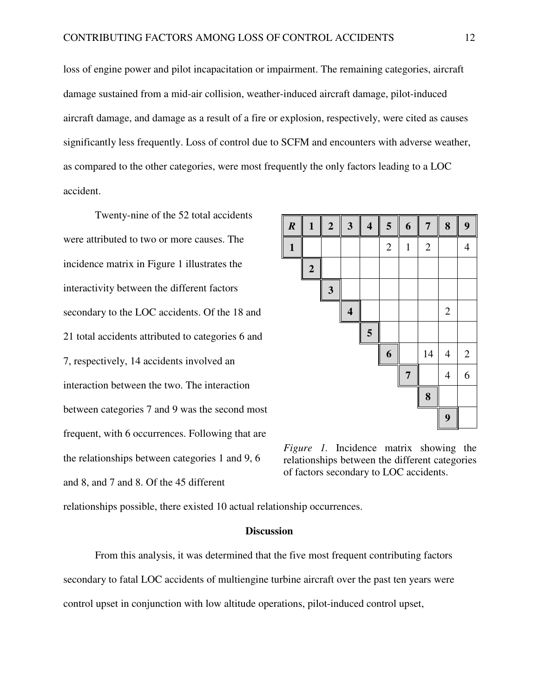loss of engine power and pilot incapacitation or impairment. The remaining categories, aircraft damage sustained from a mid-air collision, weather-induced aircraft damage, pilot-induced aircraft damage, and damage as a result of a fire or explosion, respectively, were cited as causes significantly less frequently. Loss of control due to SCFM and encounters with adverse weather, as compared to the other categories, were most frequently the only factors leading to a LOC accident.

 Twenty-nine of the 52 total accidents were attributed to two or more causes. The incidence matrix in Figure 1 illustrates the interactivity between the different factors secondary to the LOC accidents. Of the 18 and 21 total accidents attributed to categories 6 and 7, respectively, 14 accidents involved an interaction between the two. The interaction between categories 7 and 9 was the second most frequent, with 6 occurrences. Following that are the relationships between categories 1 and 9, 6 and 8, and 7 and 8. Of the 45 different



*Figure 1.* Incidence matrix showing the relationships between the different categories of factors secondary to LOC accidents.

relationships possible, there existed 10 actual relationship occurrences.

# **Discussion**

From this analysis, it was determined that the five most frequent contributing factors secondary to fatal LOC accidents of multiengine turbine aircraft over the past ten years were control upset in conjunction with low altitude operations, pilot-induced control upset,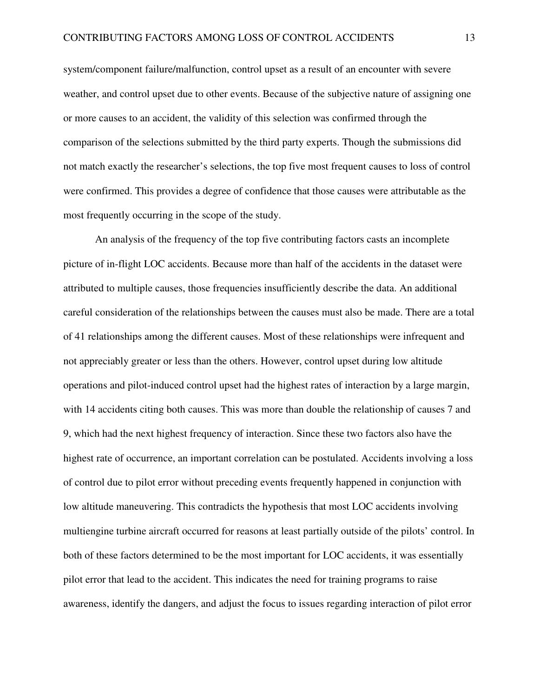system/component failure/malfunction, control upset as a result of an encounter with severe weather, and control upset due to other events. Because of the subjective nature of assigning one or more causes to an accident, the validity of this selection was confirmed through the comparison of the selections submitted by the third party experts. Though the submissions did not match exactly the researcher's selections, the top five most frequent causes to loss of control were confirmed. This provides a degree of confidence that those causes were attributable as the most frequently occurring in the scope of the study.

An analysis of the frequency of the top five contributing factors casts an incomplete picture of in-flight LOC accidents. Because more than half of the accidents in the dataset were attributed to multiple causes, those frequencies insufficiently describe the data. An additional careful consideration of the relationships between the causes must also be made. There are a total of 41 relationships among the different causes. Most of these relationships were infrequent and not appreciably greater or less than the others. However, control upset during low altitude operations and pilot-induced control upset had the highest rates of interaction by a large margin, with 14 accidents citing both causes. This was more than double the relationship of causes 7 and 9, which had the next highest frequency of interaction. Since these two factors also have the highest rate of occurrence, an important correlation can be postulated. Accidents involving a loss of control due to pilot error without preceding events frequently happened in conjunction with low altitude maneuvering. This contradicts the hypothesis that most LOC accidents involving multiengine turbine aircraft occurred for reasons at least partially outside of the pilots' control. In both of these factors determined to be the most important for LOC accidents, it was essentially pilot error that lead to the accident. This indicates the need for training programs to raise awareness, identify the dangers, and adjust the focus to issues regarding interaction of pilot error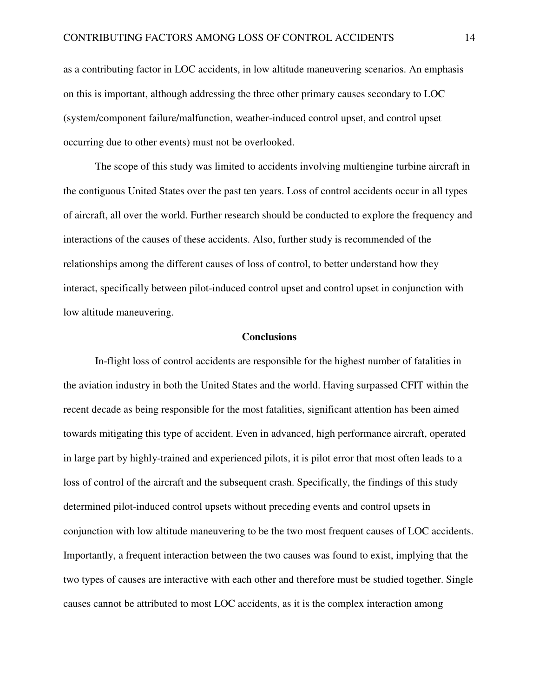as a contributing factor in LOC accidents, in low altitude maneuvering scenarios. An emphasis on this is important, although addressing the three other primary causes secondary to LOC (system/component failure/malfunction, weather-induced control upset, and control upset occurring due to other events) must not be overlooked.

The scope of this study was limited to accidents involving multiengine turbine aircraft in the contiguous United States over the past ten years. Loss of control accidents occur in all types of aircraft, all over the world. Further research should be conducted to explore the frequency and interactions of the causes of these accidents. Also, further study is recommended of the relationships among the different causes of loss of control, to better understand how they interact, specifically between pilot-induced control upset and control upset in conjunction with low altitude maneuvering.

#### **Conclusions**

 In-flight loss of control accidents are responsible for the highest number of fatalities in the aviation industry in both the United States and the world. Having surpassed CFIT within the recent decade as being responsible for the most fatalities, significant attention has been aimed towards mitigating this type of accident. Even in advanced, high performance aircraft, operated in large part by highly-trained and experienced pilots, it is pilot error that most often leads to a loss of control of the aircraft and the subsequent crash. Specifically, the findings of this study determined pilot-induced control upsets without preceding events and control upsets in conjunction with low altitude maneuvering to be the two most frequent causes of LOC accidents. Importantly, a frequent interaction between the two causes was found to exist, implying that the two types of causes are interactive with each other and therefore must be studied together. Single causes cannot be attributed to most LOC accidents, as it is the complex interaction among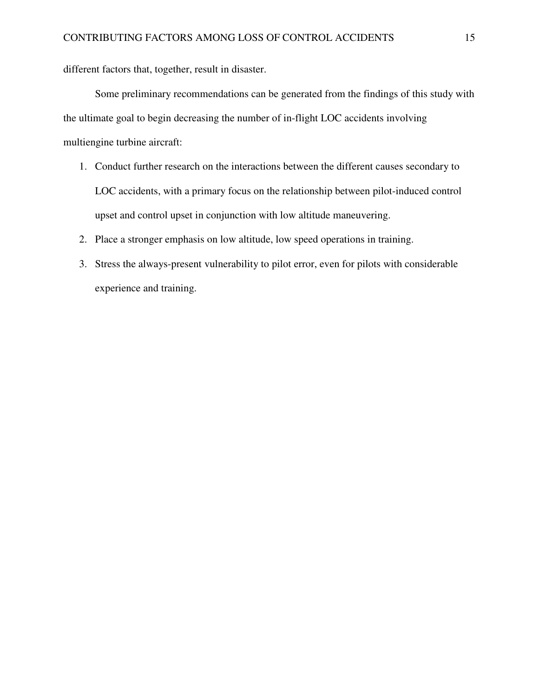different factors that, together, result in disaster.

Some preliminary recommendations can be generated from the findings of this study with the ultimate goal to begin decreasing the number of in-flight LOC accidents involving multiengine turbine aircraft:

- 1. Conduct further research on the interactions between the different causes secondary to LOC accidents, with a primary focus on the relationship between pilot-induced control upset and control upset in conjunction with low altitude maneuvering.
- 2. Place a stronger emphasis on low altitude, low speed operations in training.
- 3. Stress the always-present vulnerability to pilot error, even for pilots with considerable experience and training.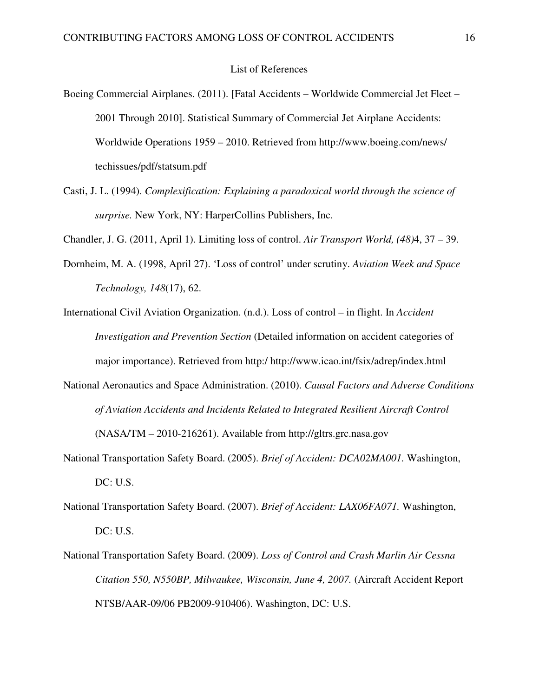# List of References

- Boeing Commercial Airplanes. (2011). [Fatal Accidents Worldwide Commercial Jet Fleet 2001 Through 2010]. Statistical Summary of Commercial Jet Airplane Accidents: Worldwide Operations 1959 – 2010. Retrieved from http://www.boeing.com/news/ techissues/pdf/statsum.pdf
- Casti, J. L. (1994). *Complexification: Explaining a paradoxical world through the science of surprise.* New York, NY: HarperCollins Publishers, Inc.

Chandler, J. G. (2011, April 1). Limiting loss of control. *Air Transport World, (48)*4, 37 – 39.

- Dornheim, M. A. (1998, April 27). 'Loss of control' under scrutiny. *Aviation Week and Space Technology, 148*(17), 62.
- International Civil Aviation Organization. (n.d.). Loss of control in flight. In *Accident Investigation and Prevention Section* (Detailed information on accident categories of major importance). Retrieved from http:/ http://www.icao.int/fsix/adrep/index.html
- National Aeronautics and Space Administration. (2010). *Causal Factors and Adverse Conditions of Aviation Accidents and Incidents Related to Integrated Resilient Aircraft Control* (NASA/TM – 2010-216261). Available from http://gltrs.grc.nasa.gov
- National Transportation Safety Board. (2005). *Brief of Accident: DCA02MA001.* Washington, DC: U.S.
- National Transportation Safety Board. (2007). *Brief of Accident: LAX06FA071.* Washington, DC: U.S.
- National Transportation Safety Board. (2009). *Loss of Control and Crash Marlin Air Cessna Citation 550, N550BP, Milwaukee, Wisconsin, June 4, 2007.* (Aircraft Accident Report NTSB/AAR-09/06 PB2009-910406). Washington, DC: U.S.